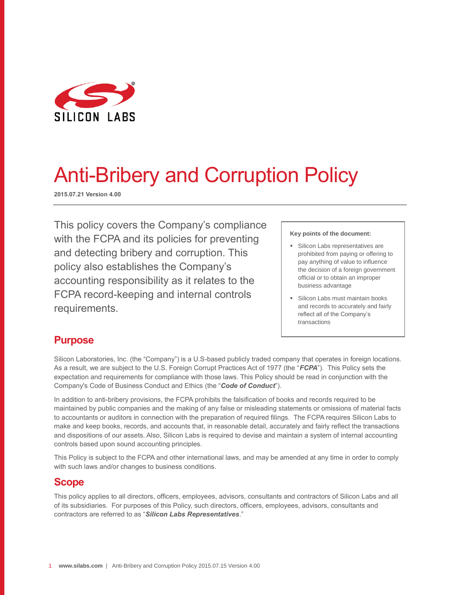

# Anti-Bribery and Corruption Policy

**2015.07.21 Version 4.00**

This policy covers the Company's compliance with the FCPA and its policies for preventing and detecting bribery and corruption. This policy also establishes the Company's accounting responsibility as it relates to the FCPA record-keeping and internal controls requirements.

#### **Key points of the document:**

- **Silicon Labs representatives are** prohibited from paying or offering to pay anything of value to influence the decision of a foreign government official or to obtain an improper business advantage
- **Silicon Labs must maintain books** and records to accurately and fairly reflect all of the Company's transactions

text.

## **Purpose**

Silicon Laboratories, Inc. (the "Company") is a U.S-based publicly traded company that operates in foreign locations. As a result, we are subject to the U.S. Foreign Corrupt Practices Act of 1977 (the "*FCPA*"). This Policy sets the expectation and requirements for compliance with those laws. This Policy should be read in conjunction with the Company's Code of Business Conduct and Ethics (the "*Code of Conduct*").

In addition to anti-bribery provisions, the FCPA prohibits the falsification of books and records required to be maintained by public companies and the making of any false or misleading statements or omissions of material facts to accountants or auditors in connection with the preparation of required filings. The FCPA requires Silicon Labs to make and keep books, records, and accounts that, in reasonable detail, accurately and fairly reflect the transactions and dispositions of our assets. Also, Silicon Labs is required to devise and maintain a system of internal accounting controls based upon sound accounting principles.

This Policy is subject to the FCPA and other international laws, and may be amended at any time in order to comply with such laws and/or changes to business conditions.

### **Scope**

This policy applies to all directors, officers, employees, advisors, consultants and contractors of Silicon Labs and all of its subsidiaries. For purposes of this Policy, such directors, officers, employees, advisors, consultants and contractors are referred to as "*Silicon Labs Representatives*."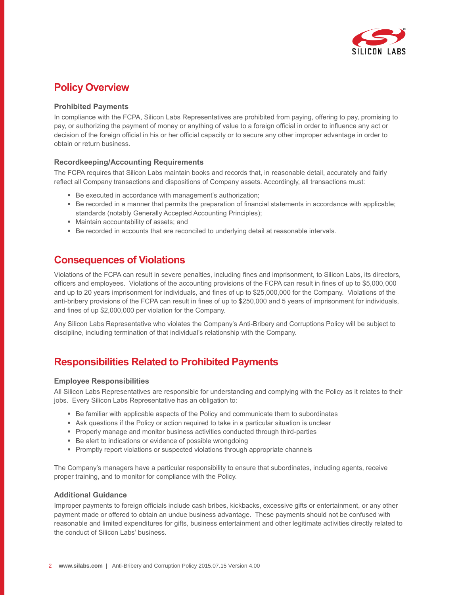

## **Policy Overview**

#### **Prohibited Payments**

In compliance with the FCPA, Silicon Labs Representatives are prohibited from paying, offering to pay, promising to pay, or authorizing the payment of money or anything of value to a foreign official in order to influence any act or decision of the foreign official in his or her official capacity or to secure any other improper advantage in order to obtain or return business.

#### **Recordkeeping/Accounting Requirements**

The FCPA requires that Silicon Labs maintain books and records that, in reasonable detail, accurately and fairly reflect all Company transactions and dispositions of Company assets. Accordingly, all transactions must:

- Be executed in accordance with management's authorization;
- Be recorded in a manner that permits the preparation of financial statements in accordance with applicable; standards (notably Generally Accepted Accounting Principles);
- Maintain accountability of assets; and
- **Be recorded in accounts that are reconciled to underlying detail at reasonable intervals.**

## **Consequences of Violations**

Violations of the FCPA can result in severe penalties, including fines and imprisonment, to Silicon Labs, its directors, officers and employees. Violations of the accounting provisions of the FCPA can result in fines of up to \$5,000,000 and up to 20 years imprisonment for individuals, and fines of up to \$25,000,000 for the Company. Violations of the anti-bribery provisions of the FCPA can result in fines of up to \$250,000 and 5 years of imprisonment for individuals, and fines of up \$2,000,000 per violation for the Company.

Any Silicon Labs Representative who violates the Company's Anti-Bribery and Corruptions Policy will be subject to discipline, including termination of that individual's relationship with the Company.

## **Responsibilities Related to Prohibited Payments**

#### **Employee Responsibilities**

All Silicon Labs Representatives are responsible for understanding and complying with the Policy as it relates to their jobs. Every Silicon Labs Representative has an obligation to:

- Be familiar with applicable aspects of the Policy and communicate them to subordinates
- Ask questions if the Policy or action required to take in a particular situation is unclear
- **Properly manage and monitor business activities conducted through third-parties**
- Be alert to indications or evidence of possible wrongdoing
- **Promptly report violations or suspected violations through appropriate channels**

The Company's managers have a particular responsibility to ensure that subordinates, including agents, receive proper training, and to monitor for compliance with the Policy.

#### **Additional Guidance**

Improper payments to foreign officials include cash bribes, kickbacks, excessive gifts or entertainment, or any other payment made or offered to obtain an undue business advantage. These payments should not be confused with reasonable and limited expenditures for gifts, business entertainment and other legitimate activities directly related to the conduct of Silicon Labs' business.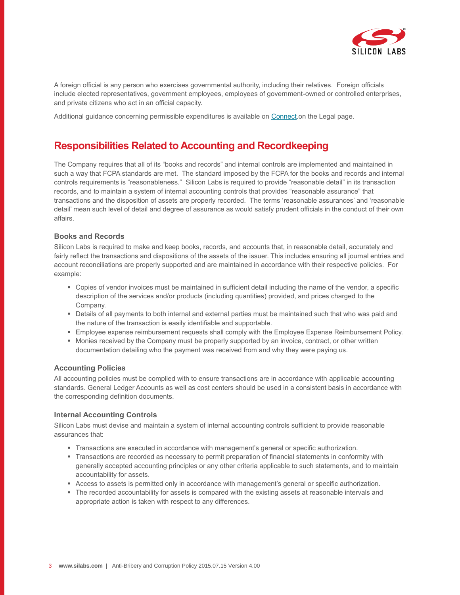

A foreign official is any person who exercises governmental authority, including their relatives. Foreign officials include elected representatives, government employees, employees of government-owned or controlled enterprises, and private citizens who act in an official capacity.

Additional guidance concerning permissible expenditures is available on [Connect.](https://connect.silabs.com/Policies/Additional%20Guidance%20for%20FCPA%20Compliance.pdf)on the Legal page.

## **Responsibilities Related to Accounting and Recordkeeping**

The Company requires that all of its "books and records" and internal controls are implemented and maintained in such a way that FCPA standards are met. The standard imposed by the FCPA for the books and records and internal controls requirements is "reasonableness." Silicon Labs is required to provide "reasonable detail" in its transaction records, and to maintain a system of internal accounting controls that provides "reasonable assurance" that transactions and the disposition of assets are properly recorded. The terms 'reasonable assurances' and 'reasonable detail' mean such level of detail and degree of assurance as would satisfy prudent officials in the conduct of their own affairs.

#### **Books and Records**

Silicon Labs is required to make and keep books, records, and accounts that, in reasonable detail, accurately and fairly reflect the transactions and dispositions of the assets of the issuer. This includes ensuring all journal entries and account reconciliations are properly supported and are maintained in accordance with their respective policies. For example:

- Copies of vendor invoices must be maintained in sufficient detail including the name of the vendor, a specific description of the services and/or products (including quantities) provided, and prices charged to the Company.
- Details of all payments to both internal and external parties must be maintained such that who was paid and the nature of the transaction is easily identifiable and supportable.
- Employee expense reimbursement requests shall comply with the Employee Expense Reimbursement Policy.
- Monies received by the Company must be properly supported by an invoice, contract, or other written documentation detailing who the payment was received from and why they were paying us.

#### **Accounting Policies**

All accounting policies must be complied with to ensure transactions are in accordance with applicable accounting standards. General Ledger Accounts as well as cost centers should be used in a consistent basis in accordance with the corresponding definition documents.

#### **Internal Accounting Controls**

Silicon Labs must devise and maintain a system of internal accounting controls sufficient to provide reasonable assurances that:

- Transactions are executed in accordance with management's general or specific authorization.
- Transactions are recorded as necessary to permit preparation of financial statements in conformity with generally accepted accounting principles or any other criteria applicable to such statements, and to maintain accountability for assets.
- Access to assets is permitted only in accordance with management's general or specific authorization.
- The recorded accountability for assets is compared with the existing assets at reasonable intervals and appropriate action is taken with respect to any differences.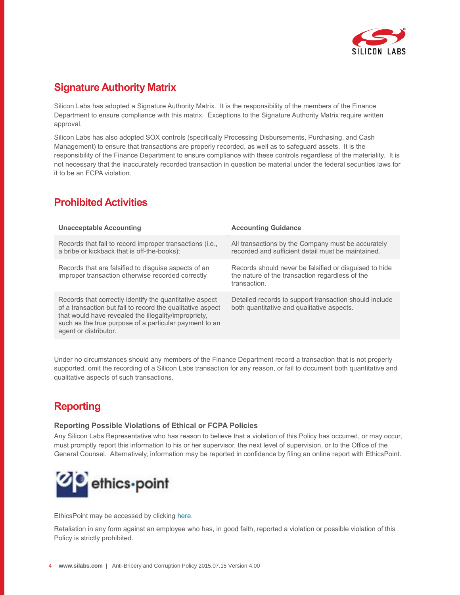

## **Signature Authority Matrix**

Silicon Labs has adopted a Signature Authority Matrix. It is the responsibility of the members of the Finance Department to ensure compliance with this matrix. Exceptions to the Signature Authority Matrix require written approval.

Silicon Labs has also adopted SOX controls (specifically Processing Disbursements, Purchasing, and Cash Management) to ensure that transactions are properly recorded, as well as to safeguard assets. It is the responsibility of the Finance Department to ensure compliance with these controls regardless of the materiality. It is not necessary that the inaccurately recorded transaction in question be material under the federal securities laws for it to be an FCPA violation.

# **Prohibited Activities**

| <b>Unacceptable Accounting</b>                                                                                                                                                                                                                                   | <b>Accounting Guidance</b>                                                                                                |
|------------------------------------------------------------------------------------------------------------------------------------------------------------------------------------------------------------------------------------------------------------------|---------------------------------------------------------------------------------------------------------------------------|
| Records that fail to record improper transactions (i.e.,<br>a bribe or kickback that is off-the-books);                                                                                                                                                          | All transactions by the Company must be accurately<br>recorded and sufficient detail must be maintained.                  |
| Records that are falsified to disguise aspects of an<br>improper transaction otherwise recorded correctly                                                                                                                                                        | Records should never be falsified or disquised to hide<br>the nature of the transaction regardless of the<br>transaction. |
| Records that correctly identify the quantitative aspect<br>of a transaction but fail to record the qualitative aspect<br>that would have revealed the illegality/impropriety.<br>such as the true purpose of a particular payment to an<br>agent or distributor. | Detailed records to support transaction should include<br>both quantitative and qualitative aspects.                      |

Under no circumstances should any members of the Finance Department record a transaction that is not properly supported, omit the recording of a Silicon Labs transaction for any reason, or fail to document both quantitative and qualitative aspects of such transactions.

# **Reporting**

#### **Reporting Possible Violations of Ethical or FCPA Policies**

Any Silicon Labs Representative who has reason to believe that a violation of this Policy has occurred, or may occur, must promptly report this information to his or her supervisor, the next level of supervision, or to the Office of the General Counsel. Alternatively, information may be reported in confidence by filing an online report with EthicsPoint.



EthicsPoint may be accessed by clicking [here.](https://secure.ethicspoint.com/domain/en/report_custom.asp?clientid=2116)

Retaliation in any form against an employee who has, in good faith, reported a violation or possible violation of this Policy is strictly prohibited.